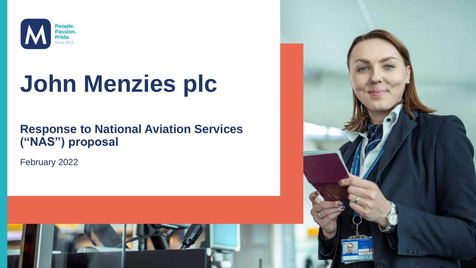

# **John Menzies plc**

### **Response to National Aviation Services ("NAS") proposal**

February 2022

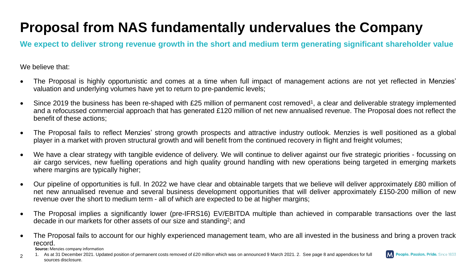# **Proposal from NAS fundamentally undervalues the Company**

**We expect to deliver strong revenue growth in the short and medium term generating significant shareholder value**

We believe that:

2

- The Proposal is highly opportunistic and comes at a time when full impact of management actions are not yet reflected in Menzies' valuation and underlying volumes have yet to return to pre-pandemic levels;
- Since 2019 the business has been re-shaped with £25 million of permanent cost removed<sup>1</sup>, a clear and deliverable strategy implemented and a refocussed commercial approach that has generated £120 million of net new annualised revenue. The Proposal does not reflect the benefit of these actions;
- The Proposal fails to reflect Menzies' strong growth prospects and attractive industry outlook. Menzies is well positioned as a global player in a market with proven structural growth and will benefit from the continued recovery in flight and freight volumes;
- We have a clear strategy with tangible evidence of delivery. We will continue to deliver against our five strategic priorities focussing on air cargo services, new fuelling operations and high quality ground handling with new operations being targeted in emerging markets where margins are typically higher;
- Our pipeline of opportunities is full. In 2022 we have clear and obtainable targets that we believe will deliver approximately £80 million of net new annualised revenue and several business development opportunities that will deliver approximately £150-200 million of new revenue over the short to medium term - all of which are expected to be at higher margins;
- The Proposal implies a significantly lower (pre-IFRS16) EV/EBITDA multiple than achieved in comparable transactions over the last decade in our markets for other assets of our size and standing<sup>2</sup>; and
- The Proposal fails to account for our highly experienced management team, who are all invested in the business and bring a proven track record. **Source:** Menzies company information

1. As at 31 December 2021. Updated position of permanent costs removed of £20 million which was on announced 9 March 2021. 2. See page 8 and appendices for full sources disclosure.

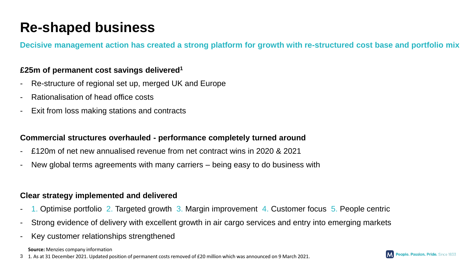### **Re-shaped business**

**Decisive management action has created a strong platform for growth with re-structured cost base and portfolio mix**

#### **£25m of permanent cost savings delivered<sup>1</sup>**

- Re-structure of regional set up, merged UK and Europe
- Rationalisation of head office costs
- Exit from loss making stations and contracts

#### **Commercial structures overhauled - performance completely turned around**

- £120m of net new annualised revenue from net contract wins in 2020 & 2021
- New global terms agreements with many carriers being easy to do business with

#### **Clear strategy implemented and delivered**

- 1. Optimise portfolio 2. Targeted growth 3. Margin improvement 4. Customer focus 5. People centric
- Strong evidence of delivery with excellent growth in air cargo services and entry into emerging markets
- Key customer relationships strengthened

**Source:** Menzies company information

3 1. As at 31 December 2021. Updated position of permanent costs removed of £20 million which was announced on 9 March 2021.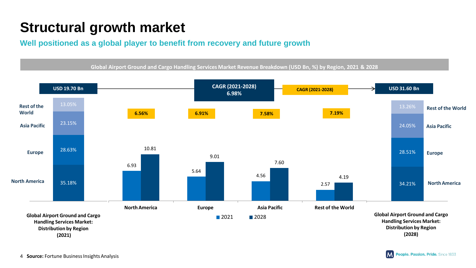## **Structural growth market**

**Well positioned as a global player to benefit from recovery and future growth**

Global Airport Ground and Cargo Handling Services Market Revenue Breakdown (USD Bn, %) by Region, 2021 & 2028



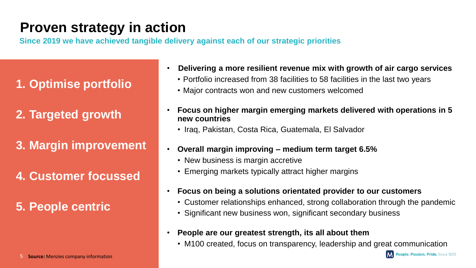### **Proven strategy in action**

**Since 2019 we have achieved tangible delivery against each of our strategic priorities**

- **1. Optimise portfolio**
- **2. Targeted growth**
- **3. Margin improvement**
- **4. Customer focussed**

**5. People centric**

5 **Source:** Menzies company information

- **Delivering a more resilient revenue mix with growth of air cargo services** • Portfolio increased from 38 facilities to 58 facilities in the last two years
	- Major contracts won and new customers welcomed
- **Focus on higher margin emerging markets delivered with operations in 5 new countries**
	- Iraq, Pakistan, Costa Rica, Guatemala, El Salvador
- **Overall margin improving – medium term target 6.5%**
	- New business is margin accretive
	- Emerging markets typically attract higher margins
- **Focus on being a solutions orientated provider to our customers**
	- Customer relationships enhanced, strong collaboration through the pandemic
	- Significant new business won, significant secondary business
- **People are our greatest strength, its all about them**
	- M100 created, focus on transparency, leadership and great communication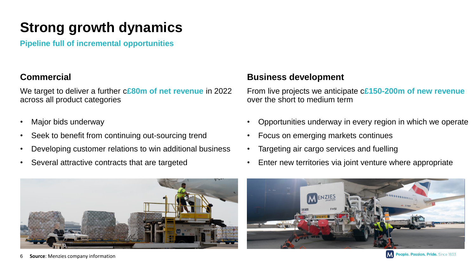## **Strong growth dynamics**

**Pipeline full of incremental opportunities**

#### **Commercial**

We target to deliver a further c**£80m of net revenue** in 2022 across all product categories

- Major bids underway
- Seek to benefit from continuing out-sourcing trend
- Developing customer relations to win additional business
- Several attractive contracts that are targeted

#### 6 **Source**: Menzies company information

#### **Business development**

From live projects we anticipate c**£150-200m of new revenue** over the short to medium term

- Opportunities underway in every region in which we operate
- Focus on emerging markets continues
- Targeting air cargo services and fuelling
- Enter new territories via joint venture where appropriate



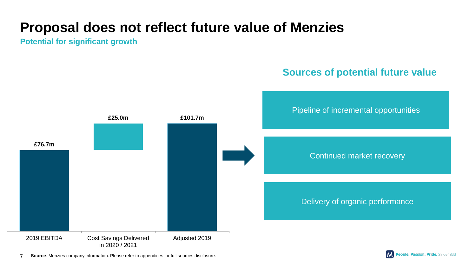### **Proposal does not reflect future value of Menzies**

**Potential for significant growth**





7 **Source**: Menzies company information. Please refer to appendices for full sources disclosure.

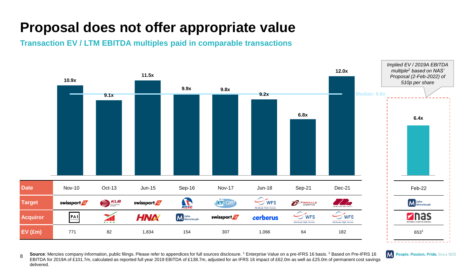### **Proposal does not offer appropriate value**

**Transaction EV / LTM EBITDA multiples paid in comparable transactions**



8 Source: Menzies company information, public filings. Please refer to appendices for full sources disclosure. <sup>1</sup> Enterprise Value on a pre-IFRS 16 basis. <sup>2</sup> Based on Pre-IFRS 16 EBITDA for 2019A of £101.7m, calculated as reported full year 2019 EBITDA of £138.7m, adjusted for an IFRS 16 impact of £62.0m as well as £25.0m of permanent cost savings delivered.

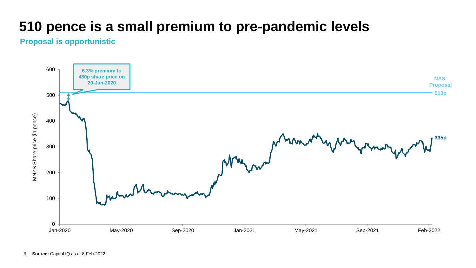### **510 pence is a small premium to pre-pandemic levels**

#### **Proposal is opportunistic**

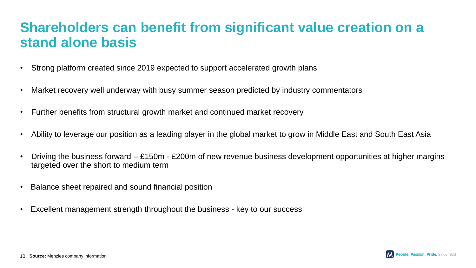### **Shareholders can benefit from significant value creation on a stand alone basis**

- Strong platform created since 2019 expected to support accelerated growth plans
- Market recovery well underway with busy summer season predicted by industry commentators
- Further benefits from structural growth market and continued market recovery
- Ability to leverage our position as a leading player in the global market to grow in Middle East and South East Asia
- Driving the business forward £150m £200m of new revenue business development opportunities at higher margins targeted over the short to medium term
- Balance sheet repaired and sound financial position
- Excellent management strength throughout the business key to our success

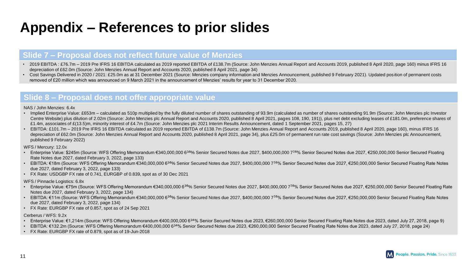### **Appendix – References to prior slides**

#### **Slide 7 – Proposal does not reflect future value of Menzies**

- 2019 EBITDA : £76.7m 2019 Pre IFRS 16 EBITDA calculated as 2019 reported EBITDA of £138.7m (Source: John Menzies Annual Report and Accounts 2019, published 8 April 2020, page 160) minus IFRS 16 depreciation of £62.0m (Source: John Menzies Annual Report and Accounts 2020, published 8 April 2021, page 34)
- Cost Savings Delivered in 2020 / 2021: £25.0m as at 31 December 2021 (Source: Menzies company information and Menzies Announcement, published 9 February 2021). Updated position of permanent costs removed of £20 million which was announced on 9 March 2021 in the announcement of Menzies' results for year to 31 December 2020.

#### **Slide 8 – Proposal does not offer appropriate value**

#### NAS / John Menzies: 6.4x

- Implied Enterprise Value: £653m calculated as 510p multiplied by the fully diluted number of shares outstanding of 93.9m (calculated as number of shares outstanding 91.9m (Source: John Menzies plc Investor Centre Website) plus dilution of 2.02m (Source: John Menzies plc Annual Report and Accounts 2020, published 8 April 2021, pages 108, 190, 191)), plus net debt excluding leases of £181.0m, preference shares of £1.4m, associates of £(13.5)m, minority interest of £4.7m (Source: John Menzies plc 2021 Interim Results Announcement, dated 1 September 2021, pages 15, 27)
- EBITDA: £101.7m 2019 Pre IFRS 16 EBITDA calculated as 2019 reported EBITDA of £138.7m (Source: John Menzies Annual Report and Accounts 2019, published 8 April 2020, page 160), minus IFRS 16 depreciation of £62.0m (Source: John Menzies Annual Report and Accounts 2020, published 8 April 2021, page 34), plus £25.0m of permanent run rate cost savings (Source: John Menzies plc Announcement, published 9 February 2022)

WFS / Mercury: 12.0x

- Enterprise Value: \$245m (Source: WFS Offering Memorandum €340,000,000 63∕8% Senior Secured Notes due 2027, \$400,000,000 77∕8% Senior Secured Notes due 2027, €250,000,000 Senior Secured Floating Rate Notes due 2027, dated February 3, 2022, page 133)
- EBITDA: €18m (Source: WFS Offering Memorandum €340,000,000 63∕8% Senior Secured Notes due 2027, \$400,000,000 77∕8% Senior Secured Notes due 2027, €250,000,000 Senior Secured Floating Rate Notes due 2027, dated February 3, 2022, page 133)
- FX Rate: USDGBP FX rate of 0.741, EURGBP of 0.839, spot as of 30 Dec 2021

WFS / Pinnacle Logistics: 6.8x

- Enterprise Value: €75m (Source: WFS Offering Memorandum €340,000,000 6<sup>38</sup>% Senior Secured Notes due 2027, \$400,000,000 7<sup>78</sup>% Senior Secured Notes due 2027, €250,000,000 Senior Secured Floating Rate Notes due 2027, dated February 3, 2022, page 134)
- EBITDA: €11m (Source: WFS Offering Memorandum €340,000,000 6<sup>36</sup>% Senior Secured Notes due 2027, \$400,000,000 7<sup>7,80</sup>% Senior Secured Notes due 2027, €250,000,000 Senior Secured Floating Rate Notes due 2027, dated February 3, 2022, page 134)
- FX Rate: EURGBP FX rate of 0.857, spot as of 24 Sep 2021

#### Cerberus / WFS: 9.2x

- Enterprise Value: €1,214m (Source: WFS Offering Memorandum €400,000,000 6<sup>34</sup>% Senior Secured Notes due 2023, €260,000,000 Senior Secured Floating Rate Notes due 2023, dated July 27, 2018, page 9)
- EBITDA: €132.2m (Source: WFS Offering Memorandum €400,000,000 63∕4% Senior Secured Notes due 2023, €260,000,000 Senior Secured Floating Rate Notes due 2023, dated July 27, 2018, page 24)
- FX Rate: EURGBP FX rate of 0.879, spot as of 19-Jun-2018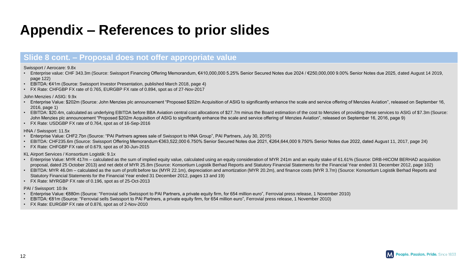### **Appendix – References to prior slides**

#### **Slide 8 cont. – Proposal does not offer appropriate value**

Swissport / Aerocare: 9.8x

- Enterprise value: CHF 343.3m (Source: Swissport Financing Offering Memorandum, €410,000,000 5.25% Senior Secured Notes due 2024 / €250,000,000 9.00% Senior Notes due 2025, dated August 14 2019, page 122)
- EBITDA: €41m (Source: Swissport Investor Presentation, published March 2018, page 4)
- FX Rate: CHFGBP FX rate of 0.765, EURGBP FX rate of 0.894, spot as of 27-Nov-2017

John Menzies / ASIG: 9.9x

- Enterprise Value: \$202m (Source: John Menzies plc announcement "Proposed \$202m Acquisition of ASIG to significantly enhance the scale and service offering of Menzies Aviation", released on September 16, 2016, page 1)
- EBITDA: \$20.4m, calculated as underlying EBITDA before BBA Aviation central cost allocations of \$27.7m minus the Board estimation of the cost to Menzies of providing these services to ASIG of \$7.3m (Source: John Menzies plc announcement "Proposed \$202m Acquisition of ASIG to significantly enhance the scale and service offering of Menzies Aviation", released on September 16, 2016, page 9)
- FX Rate: USDGBP FX rate of 0.764, spot as of 16-Sep-2016

HNA / Swissport: 11.5x

- Enterprise Value: CHF2.7bn (Source: "PAI Partners agrees sale of Swissport to HNA Group", PAI Partners, July 30, 2015)
- EBITDA: CHF235.6m (Source: Swissport Offering Memorandum €363,522,000 6.750% Senior Secured Notes due 2021, €264,644,000 9.750% Senior Notes due 2022, dated August 11, 2017, page 24)
- FX Rate: CHFGBP FX rate of 0.679, spot as of 30-Jun-2015

KL Airport Services / Konsortium Logistik: 9.1x

- Enterprise Value: MYR 417m calculated as the sum of implied equity value, calculated using an equity consideration of MYR 241m and an equity stake of 61.61% (Source: DRB-HICOM BERHAD acquisition proposal, dated 25 October 2013) and net debt of MYR 25.8m (Source: Konsortium Logistik Berhad Reports and Statutory Financial Statements for the Financial Year ended 31 December 2012, page 102)
- EBITDA: MYR 46.0m calculated as the sum of profit before tax (MYR 22.1m), depreciation and amortization (MYR 20.2m), and finance costs (MYR 3.7m) (Source: Konsortium Logistik Berhad Reports and Statutory Financial Statements for the Financial Year ended 31 December 2012, pages 13 and 19)
- FX Rate: MYRGBP FX rate of 0.196, spot as of 25-Oct-2013

PAI / Swissport: 10.9x

- Enterprise Value: €880m (Source: "Ferrovial sells Swissport to PAI Partners, a private equity firm, for 654 million euro", Ferrovial press release, 1 November 2010)
- EBITDA: €81m (Source: "Ferrovial sells Swissport to PAI Partners, a private equity firm, for 654 million euro", Ferrovial press release, 1 November 2010)
- FX Rate: EURGBP FX rate of 0.876, spot as of 2-Nov-2010

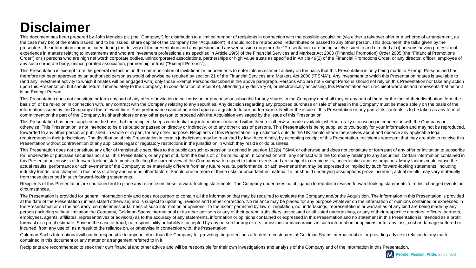### **Disclaimer**

This document has been prepared by John Menzies plc (the "Company") for distribution to a limited number of recipients in connection with the possible acquisition (via either a takeover offer or a scheme of arrangement, as the case may be) of the entire issued, and to be issued, share capital of the Company (the "Acquisition"). It should not be reproduced, redistributed or passed to any other person. This document, the talks given by the presenters, the information communicated during the delivery of the presentation and any question and answer session (together the "Presentation") are being solely issued to and directed at (i) persons having professional experience in matters relating to investments and who are investment professionals as specified in Article 19(5) of the Financial Services and Markets Act 2000 (Financial Promotion) Order 2005 (the "Financial Promotions Order") or (i) persons who are high net worth corporate bodies, unincorporated associations, partnerships or high value trusts as specified in Article 49(2) of the Financial Promotions Order, or any director, officer, empl any such corporate body, unincorporated association, partnership or trust ("Exempt Persons").

This Presentation is exempt from the general restriction on the communication of invitations or inducements to enter into investment activity on the basis that this Presentation is only being made to Exempt Persons and has therefore not been approved by an authorised person as would otherwise be required by section 21 of the Financial Services and Markets Act 2000 ("FSMA"). Any investment to which this Presentation relates is available to (and any investment activity to which it relates will be engaged with) only those Exempt Persons described in the above paragraph. Persons who are not Exempt Persons should not rely on this Presentation nor take any action upon this Presentation, but should return it immediately to the Company. In consideration of receipt of, attending any delivery of, or electronically accessing, this Presentation each recipient warrants and represents that is an Exempt Person.

This Presentation does not constitute or form any part of any offer or invitation to sell or issue or purchase or subscribe for any shares in the Company nor shall they or any part of them, or the fact of their distributio basis of, or be relied on in connection with, any contract with the Company relating to any securities. Any decision regarding any proposed purchase or sale of shares in the Company must be made solely on the basis of the information issued by the Company at the relevant time. Past performance cannot be relied upon as a guide to future performance. Neither the issue of this Presentation or any part of its contents is to be taken as any form commitment on the part of the Company, its shareholders or any other person to proceed with the Acquisition envisaged by the issue of this Presentation.

This Presentation has been supplied on the basis that the recipient keeps confidential any information contained within them or otherwise made available, whether orally or in writing in connection with the Company or otherwise. This Presentation is not intended to be distributed or passed on directly or indirectly. or to any other class of persons. This Presentation is being supplied to you solely for your information and may not be re forwarded to any other person or published, in whole or in part, for any other purpose. Recipients of this Presentation in jurisdictions outside the UK should inform themselves about and observe any applicable legal requirements in their jurisdictions. The distribution of this Presentation in certain jurisdictions may be restricted by law. Accordingly, by accepting receipt of this Presentation, recipients represent that they are able Presentation without contravention of any applicable legal or regulatory restrictions in the jurisdiction in which they reside or do business.

This Presentation does not constitute any offer of transferable securities to the public as such expression is defined in section 102(b) FSMA or otherwise and does not constitute or form part of any offer or invitation to for, underwrite or purchase securities nor shall this Presentation, or any part of it, form the basis of, or be relied upon in connection with, any contract with the Company relating to any securities. Certain information this Presentation consists of forward-looking statements reflecting the current view of the Company with respect to future events and are subject to certain risks, uncertainties and assumptions. Many factors could cause the actual results, performance or achievements of the Company to be materially different from any future results, performance, or achievements that may be expressed or implied by such forward-looking statements, including industry trends, and changes in business strategy and various other factors. Should one or more of these risks or uncertainties materialize, or should underlying assumptions prove incorrect, actual results may vary materia from those described in such forward-looking statements.

Recipients of this Presentation are cautioned not to place any reliance on these forward-looking statements. The Company undertakes no obligation to republish revised forward-looking statements to reflect changed events or circumstances.

The Presentation is provided for general information only and does not purport to contain all the information that may be required to evaluate the Company and/or the Acquisition. The information in this Presentation is pro at the date of the Presentation (unless stated otherwise) and is subject to updating, revision and further correction. No reliance may be placed for any purpose whatever on the information or opinions contained or expresse the Presentation or on the accuracy, completeness or fairness of such information or opinions. To the extent permitted by law or regulation, no undertakings, representations or warranties of any kind are being made by any person (including without limitation the Company, Goldman Sachs International or its other advisors or any of their parent, subsidiary, associated or affiliated undertakings, or any of their respective directors, officers, employees, agents, affiliates, representatives or advisors) as to the accuracy of any statements, information or opinions contained or expressed in this Presentation and no statement in this Presentation is intended as a p forecast or a profit estimate. Save in the case of fraud, no responsibility or liability is accepted by any person for any errors, omissions or inaccuracies in such information or opinions or for any loss, cost or damage s incurred, from any use of, as a result of the reliance on, or otherwise in connection with, the Presentation.

Goldman Sachs International will not be responsible to anyone other than the Company for providing the protections afforded to customers of Goldman Sachs International or for providing advice in relation to any matter contained in this document or any matter or arrangement referred to in it.

Recipients are recommended to seek their own financial and other advice and will be responsible for their own investigations and analysis of the Company and of the information in this Presentation.